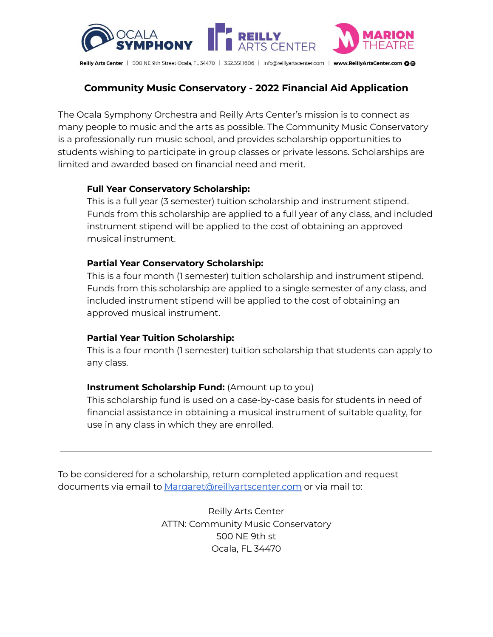

# **Community Music Conservatory - 2022 Financial Aid Application**

The Ocala Symphony Orchestra and Reilly Arts Center's mission is to connect as many people to music and the arts as possible. The Community Music Conservatory is a professionally run music school, and provides scholarship opportunities to students wishing to participate in group classes or private lessons. Scholarships are limited and awarded based on financial need and merit.

#### **Full Year Conservatory Scholarship:**

This is a full year (3 semester) tuition scholarship and instrument stipend. Funds from this scholarship are applied to a full year of any class, and included instrument stipend will be applied to the cost of obtaining an approved musical instrument.

#### **Partial Year Conservatory Scholarship:**

This is a four month (1 semester) tuition scholarship and instrument stipend. Funds from this scholarship are applied to a single semester of any class, and included instrument stipend will be applied to the cost of obtaining an approved musical instrument.

#### **Partial Year Tuition Scholarship:**

This is a four month (1 semester) tuition scholarship that students can apply to any class.

#### **Instrument Scholarship Fund:** (Amount up to you)

This scholarship fund is used on a case-by-case basis for students in need of financial assistance in obtaining a musical instrument of suitable quality, for use in any class in which they are enrolled.

To be considered for a scholarship, return completed application and request documents via email to [Margaret@reillyartscenter.com](mailto:Margaret@reillyartscenter.com) or via mail to:

> Reilly Arts Center ATTN: Community Music Conservatory 500 NE 9th st Ocala, FL 34470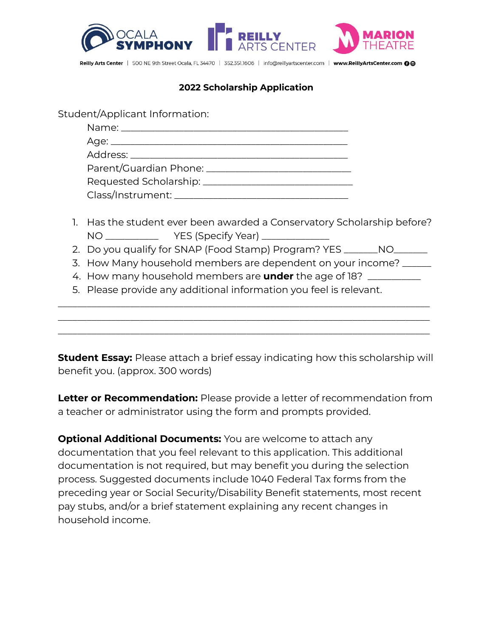

### **2022 Scholarship Application**

Student/Applicant Information:

| Requested Scholarship: _________________________ |  |
|--------------------------------------------------|--|
|                                                  |  |

- 1. Has the student ever been awarded a Conservatory Scholarship before? NO \_\_\_\_\_\_\_\_\_\_\_\_\_\_\_\_ YES (Specify Year) \_\_\_\_\_\_\_\_\_\_\_\_\_\_
- 2. Do you qualify for SNAP (Food Stamp) Program? YES \_\_\_\_\_\_NO\_\_\_\_\_\_
- 3. How Many household members are dependent on your income? \_\_\_\_\_\_

\_\_\_\_\_\_\_\_\_\_\_\_\_\_\_\_\_\_\_\_\_\_\_\_\_\_\_\_\_\_\_\_\_\_\_\_\_\_\_\_\_\_\_\_\_\_\_\_\_\_\_\_\_\_\_\_\_\_\_\_\_\_\_\_\_\_\_\_\_\_\_\_\_\_\_\_\_ \_\_\_\_\_\_\_\_\_\_\_\_\_\_\_\_\_\_\_\_\_\_\_\_\_\_\_\_\_\_\_\_\_\_\_\_\_\_\_\_\_\_\_\_\_\_\_\_\_\_\_\_\_\_\_\_\_\_\_\_\_\_\_\_\_\_\_\_\_\_\_\_\_\_\_\_\_ \_\_\_\_\_\_\_\_\_\_\_\_\_\_\_\_\_\_\_\_\_\_\_\_\_\_\_\_\_\_\_\_\_\_\_\_\_\_\_\_\_\_\_\_\_\_\_\_\_\_\_\_\_\_\_\_\_\_\_\_\_\_\_\_\_\_\_\_\_\_\_\_\_\_\_\_\_

- 4. How many household members are **under** the age of 18? \_\_\_\_\_\_\_\_\_\_\_
- 5. Please provide any additional information you feel is relevant.

**Student Essay:** Please attach a brief essay indicating how this scholarship will benefit you. (approx. 300 words)

**Letter or Recommendation:** Please provide a letter of recommendation from a teacher or administrator using the form and prompts provided.

**Optional Additional Documents:** You are welcome to attach any documentation that you feel relevant to this application. This additional documentation is not required, but may benefit you during the selection process. Suggested documents include 1040 Federal Tax forms from the preceding year or Social Security/Disability Benefit statements, most recent pay stubs, and/or a brief statement explaining any recent changes in household income.